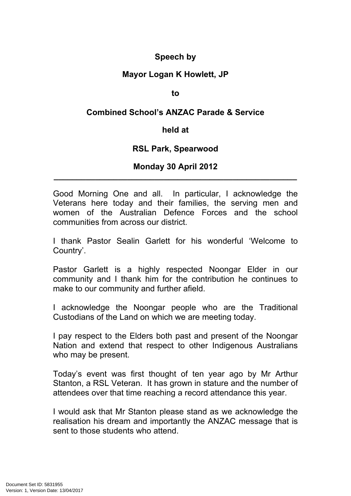# **Speech by**

# **Mayor Logan K Howlett, JP**

#### **to**

## **Combined School's ANZAC Parade & Service**

### **held at**

## **RSL Park, Spearwood**

### **Monday 30 April 2012 \_\_\_\_\_\_\_\_\_\_\_\_\_\_\_\_\_\_\_\_\_\_\_\_\_\_\_\_\_\_\_\_\_\_\_\_\_\_\_\_\_\_\_\_\_\_\_\_\_\_\_\_\_**

Good Morning One and all. In particular, I acknowledge the Veterans here today and their families, the serving men and women of the Australian Defence Forces and the school communities from across our district.

I thank Pastor Sealin Garlett for his wonderful 'Welcome to Country'.

Pastor Garlett is a highly respected Noongar Elder in our community and I thank him for the contribution he continues to make to our community and further afield.

I acknowledge the Noongar people who are the Traditional Custodians of the Land on which we are meeting today.

I pay respect to the Elders both past and present of the Noongar Nation and extend that respect to other Indigenous Australians who may be present.

Today's event was first thought of ten year ago by Mr Arthur Stanton, a RSL Veteran. It has grown in stature and the number of attendees over that time reaching a record attendance this year.

I would ask that Mr Stanton please stand as we acknowledge the realisation his dream and importantly the ANZAC message that is sent to those students who attend.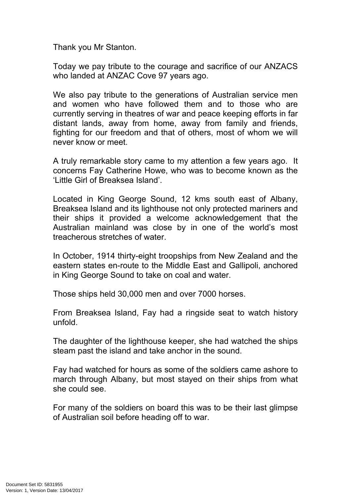Thank you Mr Stanton.

Today we pay tribute to the courage and sacrifice of our ANZACS who landed at ANZAC Cove 97 years ago.

We also pay tribute to the generations of Australian service men and women who have followed them and to those who are currently serving in theatres of war and peace keeping efforts in far distant lands, away from home, away from family and friends, fighting for our freedom and that of others, most of whom we will never know or meet.

A truly remarkable story came to my attention a few years ago. It concerns Fay Catherine Howe, who was to become known as the 'Little Girl of Breaksea Island'.

Located in King George Sound, 12 kms south east of Albany, Breaksea Island and its lighthouse not only protected mariners and their ships it provided a welcome acknowledgement that the Australian mainland was close by in one of the world's most treacherous stretches of water.

In October, 1914 thirty-eight troopships from New Zealand and the eastern states en-route to the Middle East and Gallipoli, anchored in King George Sound to take on coal and water.

Those ships held 30,000 men and over 7000 horses.

From Breaksea Island, Fay had a ringside seat to watch history unfold.

The daughter of the lighthouse keeper, she had watched the ships steam past the island and take anchor in the sound.

Fay had watched for hours as some of the soldiers came ashore to march through Albany, but most stayed on their ships from what she could see.

For many of the soldiers on board this was to be their last glimpse of Australian soil before heading off to war.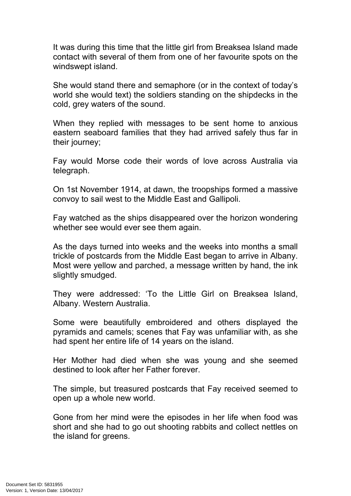It was during this time that the little girl from Breaksea Island made contact with several of them from one of her favourite spots on the windswept island.

She would stand there and semaphore (or in the context of today's world she would text) the soldiers standing on the shipdecks in the cold, grey waters of the sound.

When they replied with messages to be sent home to anxious eastern seaboard families that they had arrived safely thus far in their journey;

Fay would Morse code their words of love across Australia via telegraph.

On 1st November 1914, at dawn, the troopships formed a massive convoy to sail west to the Middle East and Gallipoli.

Fay watched as the ships disappeared over the horizon wondering whether see would ever see them again.

As the days turned into weeks and the weeks into months a small trickle of postcards from the Middle East began to arrive in Albany. Most were yellow and parched, a message written by hand, the ink slightly smudged.

They were addressed: 'To the Little Girl on Breaksea Island, Albany. Western Australia.

Some were beautifully embroidered and others displayed the pyramids and camels; scenes that Fay was unfamiliar with, as she had spent her entire life of 14 years on the island.

Her Mother had died when she was young and she seemed destined to look after her Father forever.

The simple, but treasured postcards that Fay received seemed to open up a whole new world.

Gone from her mind were the episodes in her life when food was short and she had to go out shooting rabbits and collect nettles on the island for greens.